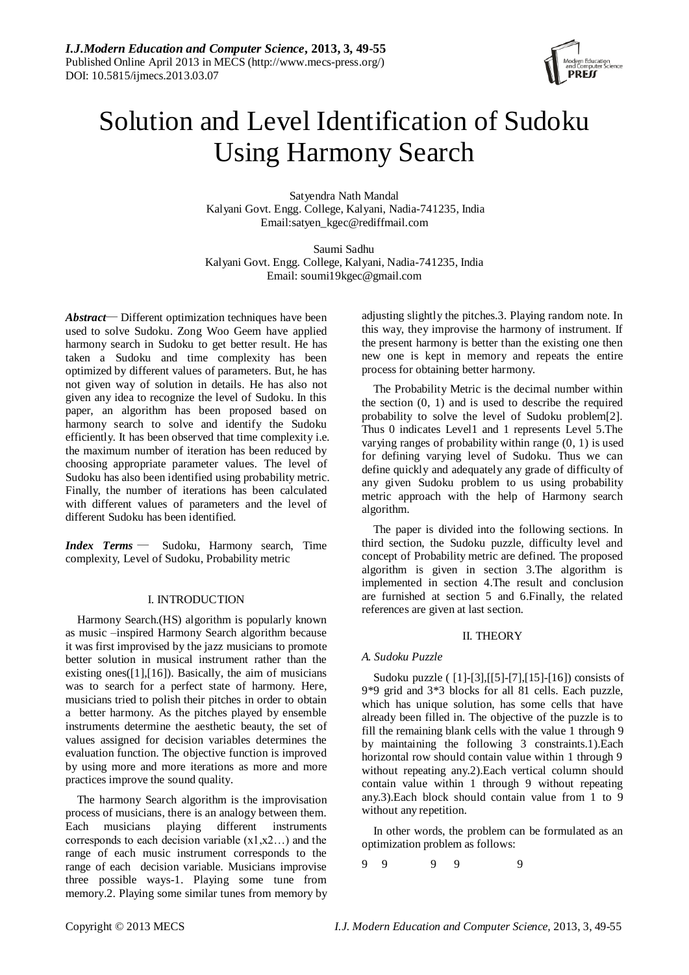

# Solution and Level Identification of Sudoku Using Harmony Search

Satyendra Nath Mandal Kalyani Govt. Engg. College, Kalyani, Nadia-741235, India Email:satyen\_kgec@rediffmail.com

Saumi Sadhu Kalyani Govt. Engg. College, Kalyani, Nadia-741235, India Email: soumi19kgec@gmail.com

*Abstract*— Different optimization techniques have been used to solve Sudoku. Zong Woo Geem have applied harmony search in Sudoku to get better result. He has taken a Sudoku and time complexity has been optimized by different values of parameters. But, he has not given way of solution in details. He has also not given any idea to recognize the level of Sudoku. In this paper, an algorithm has been proposed based on harmony search to solve and identify the Sudoku efficiently. It has been observed that time complexity i.e. the maximum number of iteration has been reduced by choosing appropriate parameter values. The level of Sudoku has also been identified using probability metric. Finally, the number of iterations has been calculated with different values of parameters and the level of different Sudoku has been identified.

*Index Terms* — Sudoku, Harmony search, Time complexity, Level of Sudoku, Probability metric

## I. INTRODUCTION

Harmony Search.(HS) algorithm is popularly known as music –inspired Harmony Search algorithm because it was first improvised by the jazz musicians to promote better solution in musical instrument rather than the existing ones $([1],[16])$ . Basically, the aim of musicians was to search for a perfect state of harmony. Here, musicians tried to polish their pitches in order to obtain a better harmony. As the pitches played by ensemble instruments determine the aesthetic beauty, the set of values assigned for decision variables determines the evaluation function. The objective function is improved by using more and more iterations as more and more practices improve the sound quality.

The harmony Search algorithm is the improvisation process of musicians, there is an analogy between them. Each musicians playing different instruments corresponds to each decision variable  $(x1,x2...)$  and the range of each music instrument corresponds to the range of each decision variable. Musicians improvise three possible ways-1. Playing some tune from memory.2. Playing some similar tunes from memory by adjusting slightly the pitches.3. Playing random note. In this way, they improvise the harmony of instrument. If the present harmony is better than the existing one then new one is kept in memory and repeats the entire process for obtaining better harmony.

The Probability Metric is the decimal number within the section  $(0, 1)$  and is used to describe the required probability to solve the level of Sudoku problem[2]. Thus 0 indicates Level1 and 1 represents Level 5.The varying ranges of probability within range (0, 1) is used for defining varying level of Sudoku. Thus we can define quickly and adequately any grade of difficulty of any given Sudoku problem to us using probability metric approach with the help of Harmony search algorithm.

The paper is divided into the following sections. In third section, the Sudoku puzzle, difficulty level and concept of Probability metric are defined. The proposed algorithm is given in section 3.The algorithm is implemented in section 4.The result and conclusion are furnished at section 5 and 6.Finally, the related references are given at last section.

## II. THEORY

## *A. Sudoku Puzzle*

Sudoku puzzle ( [1]-[3],[[5]-[7],[15]-[16]) consists of 9\*9 grid and 3\*3 blocks for all 81 cells. Each puzzle, which has unique solution, has some cells that have already been filled in. The objective of the puzzle is to fill the remaining blank cells with the value 1 through 9 by maintaining the following 3 constraints.1).Each horizontal row should contain value within 1 through 9 without repeating any.2).Each vertical column should contain value within 1 through 9 without repeating any.3).Each block should contain value from 1 to 9 without any repetition.

In other words, the problem can be formulated as an optimization problem as follows:

9 9 9 9 9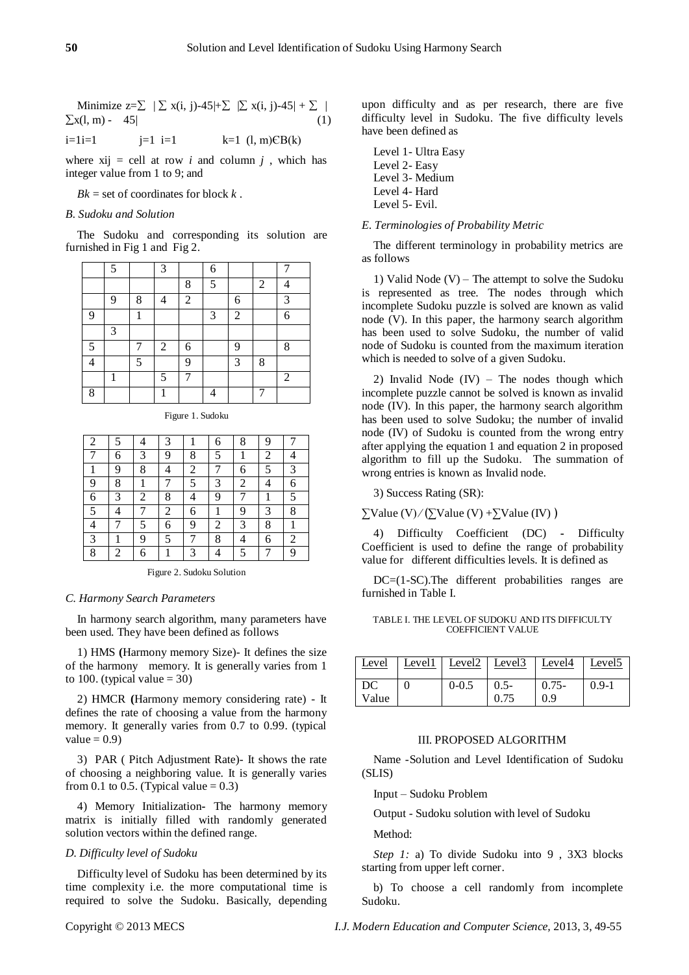|                     | Minimize $z=\sum  \sum x(i, j)-45 +\sum  \sum x(i, j)-45 +\sum  $ |     |
|---------------------|-------------------------------------------------------------------|-----|
| $\sum x(l, m) - 45$ |                                                                   | (1) |

i=1i=1 j=1 i=1 k=1 (l, m)ЄB(k)

where  $xij =$  cell at row *i* and column *j*, which has integer value from 1 to 9; and

 $Bk =$  set of coordinates for block  $k$ .

#### *B. Sudoku and Solution*

The Sudoku and corresponding its solution are furnished in Fig 1 and Fig 2.

|    | 5 |   | 3              |                | 6 |                |   |   |
|----|---|---|----------------|----------------|---|----------------|---|---|
|    |   |   |                | 8              | 5 |                | 2 |   |
|    | 9 | 8 |                | $\overline{2}$ |   | 6              |   | 3 |
| 9  |   | 1 |                |                | 3 | $\overline{2}$ |   | 6 |
|    | 3 |   |                |                |   |                |   |   |
| -5 |   |   | $\overline{2}$ | 6              |   | 9              |   | 8 |
|    |   | 5 |                | 9              |   | 3              | 8 |   |
|    | 1 |   | 5              |                |   |                |   | 2 |
| 8  |   |   | 1              |                |   |                | 7 |   |

Figure 1. Sudoku

| 2 | 5 | 4 | 3 |                | 6 | 8 | 9 |   |
|---|---|---|---|----------------|---|---|---|---|
|   | 6 | 3 | 9 | 8              | 5 |   | 2 | 4 |
|   | 9 | 8 | 4 | $\overline{c}$ |   | 6 | 5 | 3 |
| 9 | 8 |   | 7 | 5              | 3 | 2 |   | 6 |
| 6 | 3 | 2 | 8 | 4              | 9 |   |   | 5 |
| 5 | 4 | 7 | 2 | 6              |   | 9 | 3 | 8 |
| 4 |   | 5 | 6 | 9              | 2 | 3 | 8 | 1 |
| 3 |   | 9 | 5 |                | 8 | 4 | 6 | 2 |
| 8 | 2 | 6 | 1 | 3              | 4 | 5 |   | 9 |

Figure 2. Sudoku Solution

#### *C. Harmony Search Parameters*

In harmony search algorithm, many parameters have been used. They have been defined as follows

1) HMS **(**Harmony memory Size)- It defines the size of the harmony memory. It is generally varies from 1 to 100. (typical value  $= 30$ )

2) HMCR **(**Harmony memory considering rate) - It defines the rate of choosing a value from the harmony memory. It generally varies from 0.7 to 0.99. (typical value  $= 0.9$ )

3) PAR ( Pitch Adjustment Rate)- It shows the rate of choosing a neighboring value. It is generally varies from 0.1 to 0.5. (Typical value  $= 0.3$ )

4) Memory Initialization**-** The harmony memory matrix is initially filled with randomly generated solution vectors within the defined range.

#### *D. Difficulty level of Sudoku*

Difficulty level of Sudoku has been determined by its time complexity i.e. the more computational time is required to solve the Sudoku. Basically, depending

upon difficulty and as per research, there are five difficulty level in Sudoku. The five difficulty levels have been defined as

| Level 1 - Ultra Easy |
|----------------------|
| Level 2- Easy        |
| Level 3- Medium      |
| Level 4- Hard        |
| Level 5- Evil.       |

#### *E. Terminologies of Probability Metric*

The different terminology in probability metrics are as follows

1) Valid Node (V) – The attempt to solve the Sudoku is represented as tree. The nodes through which incomplete Sudoku puzzle is solved are known as valid node (V). In this paper, the harmony search algorithm has been used to solve Sudoku, the number of valid node of Sudoku is counted from the maximum iteration which is needed to solve of a given Sudoku.

2) Invalid Node  $(IV)$  – The nodes though which incomplete puzzle cannot be solved is known as invalid node (IV). In this paper, the harmony search algorithm has been used to solve Sudoku; the number of invalid node (IV) of Sudoku is counted from the wrong entry after applying the equation 1 and equation 2 in proposed algorithm to fill up the Sudoku. The summation of wrong entries is known as Invalid node.

3) Success Rating (SR):

 $\sum \text{Value (V)} / (\sum \text{Value (V)} + \sum \text{Value (IV)})$ 

4) Difficulty Coefficient (DC) **-** Difficulty Coefficient is used to define the range of probability value for different difficulties levels. It is defined as

DC=(1-SC).The different probabilities ranges are furnished in Table I.

#### TABLE I. THE LEVEL OF SUDOKU AND ITS DIFFICULTY COEFFICIENT VALUE

| Level | Level1 | Level <sub>2</sub> Level <sub>3</sub> |         | Level4   | Level <sub>5</sub> |
|-------|--------|---------------------------------------|---------|----------|--------------------|
| DC    |        | $0 - 0.5$                             | $0.5 -$ | $0.75 -$ | $0.9-1$            |
| Value |        |                                       | 0.75    | 0.9      |                    |

## III. PROPOSED ALGORITHM

Name -Solution and Level Identification of Sudoku (SLIS)

Input – Sudoku Problem

Output - Sudoku solution with level of Sudoku

Method:

*Step 1:* a) To divide Sudoku into 9 , 3X3 blocks starting from upper left corner.

b) To choose a cell randomly from incomplete Sudoku.

Copyright © 2013 MECS *I.J. Modern Education and Computer Science,* 2013, 3, 49-55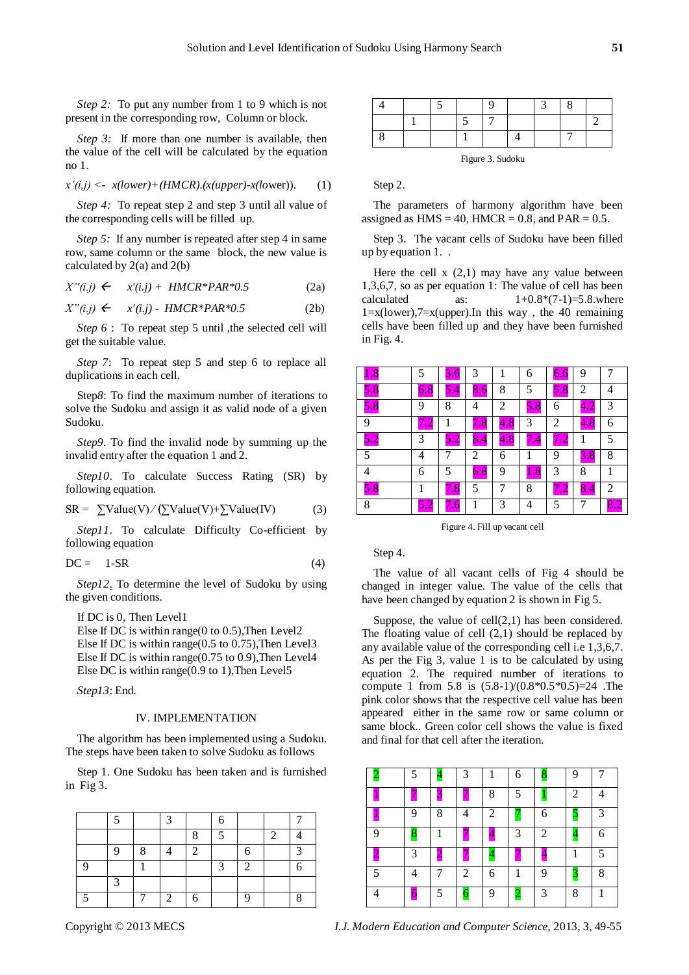*Step 2:* To put any number from 1 to 9 which is not present in the corresponding row, Column or block.

*Step 3:* If more than one number is available, then the value of the cell will be calculated by the equation no 1.

$$
x'(i,j) < -x(lower) + (HMCR).(x(upper) - x(lower)). \tag{1}
$$

*Step 4:* To repeat step 2 and step 3 until all value of the corresponding cells will be filled up.

*Step 5:* If any number is repeated after step 4 in same row, same column or the same block, the new value is calculated by  $2(a)$  and  $2(b)$ 

$$
X''(i,j) \leftarrow x'(i,j) + HMCR^*PAR^*0.5 \tag{2a}
$$

$$
X''(i,j) \leftarrow x'(i,j) - HMCR^*PAR^*0.5 \tag{2b}
$$

*Step 6* : To repeat step 5 until , the selected cell will get the suitable value.

*Step 7*: To repeat step 5 and step 6 to replace all duplications in each cell.

Step*8*: To find the maximum number of iterations to solve the Sudoku and assign it as valid node of a given Sudoku.

*Step9*. To find the invalid node by summing up the invalid entry after the equation 1 and 2.

*Step10*. To calculate Success Rating (SR) by following equation.

$$
SR = \sum Value(V) / (\sum Value(V) + \sum Value(V)
$$
 (3)

Step11. To calculate Difficulty Co-efficient by following equation

$$
DC = 1-SR \tag{4}
$$

*Step12*. To determine the level of Sudoku by using the given conditions.

If DC is 0, Then Level1

Else If DC is within range( $0$  to  $0.5$ ), Then Level2 Else If DC is within range(0.5 to 0.75),Then Level3 Else If DC is within range(0.75 to 0.9),Then Level4 Else DC is within range(0.9 to 1),Then Level5

*Step13*: End.

## IV. IMPLEMENTATION

The algorithm has been implemented using a Sudoku. The steps have been taken to solve Sudoku as follows

Step 1. One Sudoku has been taken and is furnished in Fig 3.

|   |   |   | 2 |   |                   |   |           |
|---|---|---|---|---|-------------------|---|-----------|
|   |   |   |   | Ω | $\epsilon$        |   |           |
|   | 9 | 8 |   | 2 |                   | 6 | $\hat{ }$ |
| C |   |   |   |   | $\mathbf{\Omega}$ |   |           |
|   | ◠ |   |   |   |                   |   |           |
|   |   |   | っ |   |                   |   |           |

Figure 3. Sudoku

Step 2.

The parameters of harmony algorithm have been assigned as  $HMS = 40$ ,  $HMCR = 0.8$ , and  $PAR = 0.5$ .

Step 3. The vacant cells of Sudoku have been filled up by equation 1. .

Here the cell  $x(2,1)$  may have any value between 1,3,6,7, so as per equation 1: The value of cell has been calculated as:  $1+0.8*(7-1)=5.8$ . where  $1 = x$ (lower), $7 = x$ (upper). In this way, the 40 remaining cells have been filled up and they have been furnished in Fig. 4.

| $1.8\,$ | 5   | 3.6            | 3               |                      | 6       | 6.6            | 9   |                |
|---------|-----|----------------|-----------------|----------------------|---------|----------------|-----|----------------|
| 5.8     | 6.8 | 5.4            | 8.6             | 8                    | 5       | 5.8            | 2   | 4              |
| 5.8     | 9   | 8              | 4               | 2                    | 5.8     | 6              | 4.2 | 3              |
| 9       |     |                | $\overline{.8}$ | $\blacklozenge$<br>8 | 3       | $\overline{2}$ | 4.8 | 6              |
| 5.2     | 3   | 5.2            | 8.4             | 4.8                  |         | ∠.             |     | 5              |
| 5       | 4   | 7              | 2               | 6                    | 1       | 9              | 3.8 | 8              |
| 4       | 6   | 5              | 6.8             | 9                    | $1.8\,$ | 3              | 8   |                |
| 5.8     | 1   | 7<br>$\cdot$ 8 | 5               | 7                    | 8       | ے .            | 8.4 | $\overline{2}$ |
| 8       |     |                |                 | 3                    | 4       | 5              |     |                |

Figure 4. Fill up vacant cell

Step 4.

The value of all vacant cells of Fig 4 should be changed in integer value. The value of the cells that have been changed by equation 2 is shown in Fig 5.

Suppose, the value of cell(2,1) has been considered. The floating value of cell (2,1) should be replaced by any available value of the corresponding cell i.e 1,3,6,7. As per the Fig 3, value 1 is to be calculated by using equation 2. The required number of iterations to compute 1 from 5.8 is  $(5.8-1)/(0.8*0.5*0.5)=24$ . The pink color shows that the respective cell value has been appeared either in the same row or same column or same block.. Green color cell shows the value is fixed and final for that cell after the iteration.

|   |   |   | 3 |   | 6 |   | 9 |   |
|---|---|---|---|---|---|---|---|---|
|   |   |   |   | 8 | 5 |   | 2 |   |
|   | 9 | 8 |   | 2 |   | 6 |   | 3 |
| q | 8 |   |   |   | 3 | 2 | 4 | 6 |
|   | 3 |   |   | ┱ |   |   |   | 5 |
| 5 |   |   | 2 | 6 |   | 9 |   | 8 |
|   | 6 | 5 |   | 9 | ⊷ | 3 | 8 |   |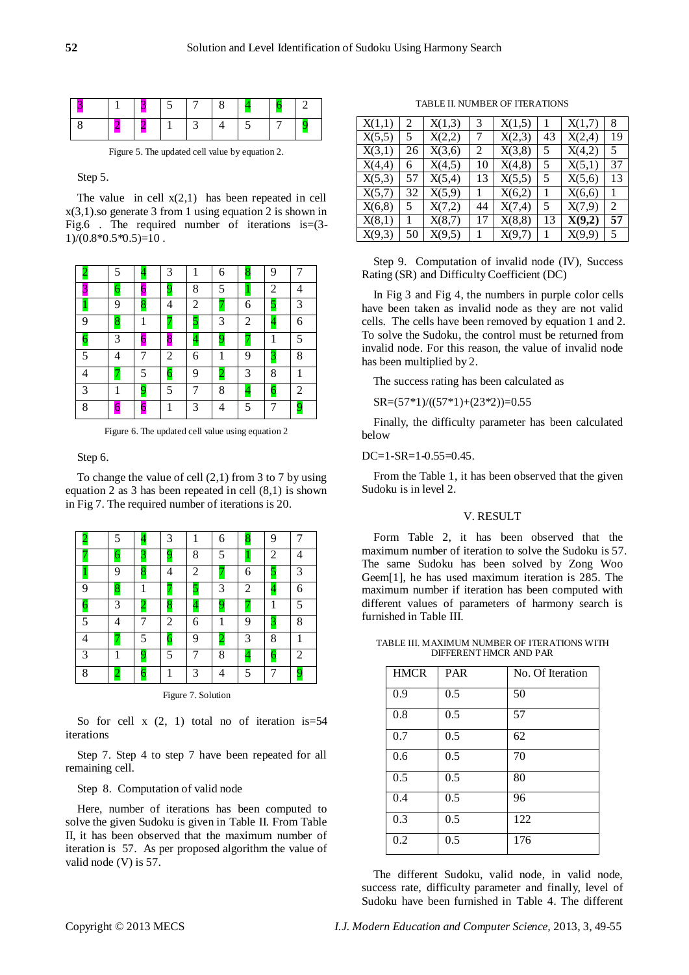Figure 5. The updated cell value by equation 2.

#### Step 5.

The value in cell  $x(2,1)$  has been repeated in cell  $x(3,1)$ .so generate 3 from 1 using equation 2 is shown in Fig.6 . The required number of iterations is=(3-  $1)/(0.8*0.5*0.5)=10$ .

|   | 5 |   | 3              |   | 6              | 8              | 9              | 7 |
|---|---|---|----------------|---|----------------|----------------|----------------|---|
|   |   | 6 | q              | 8 | 5              | 1              | $\overline{2}$ |   |
| 1 | 9 | 8 | 4              | 2 |                | 6              | 5              | 3 |
| 9 | 8 | 1 |                | 5 | 3              | $\overline{2}$ | $\overline{4}$ | 6 |
|   | 3 | 6 | 8              | 4 | 9              |                |                | 5 |
| 5 |   |   | $\overline{2}$ | 6 | 1              | 9              | 3              | 8 |
|   |   | 5 |                | 9 | $\overline{c}$ | 3              | 8              | 1 |
| 3 | 1 | 9 | 5              | 7 | 8              | $\overline{4}$ | $\overline{6}$ | 2 |
| 8 | 6 | 6 | 1              | 3 | 4              | 5              | 7              | 9 |

Figure 6. The updated cell value using equation 2

Step 6.

To change the value of cell (2,1) from 3 to 7 by using equation 2 as 3 has been repeated in cell (8,1) is shown in Fig 7. The required number of iterations is 20.

|   | 5 |                | 3              |                | 6              | 8              | 9                       |                |
|---|---|----------------|----------------|----------------|----------------|----------------|-------------------------|----------------|
|   | 6 |                | 9              | 8              | 5              | $\mathbf{1}$   | 2                       |                |
|   | 9 | 8              | 4              | 2              |                | 6              | 5                       | 3              |
| 9 | 8 | 1              |                | 5              | 3              | 2              | 4                       | 6              |
| 6 | 3 |                | 8              | $\overline{4}$ | 9              |                | 1                       | 5              |
| 5 |   |                | 2              | 6              | 1              | 9              | 3                       | 8              |
|   |   | 5              | $\overline{6}$ | 9              | $\overline{c}$ | 3              | 8                       |                |
| 3 | 1 | $\overline{9}$ | 5              | 7              | 8              | $\overline{4}$ | $\overline{\mathbf{6}}$ | 2              |
| 8 |   | 6              | 1              | 3              | 4              | 5              | 7                       | $\overline{9}$ |

Figure 7. Solution

So for cell  $x(2, 1)$  total no of iteration is=54 iterations

Step 7. Step 4 to step 7 have been repeated for all remaining cell.

Step 8. Computation of valid node

Here, number of iterations has been computed to solve the given Sudoku is given in Table II. From Table II, it has been observed that the maximum number of iteration is 57. As per proposed algorithm the value of valid node (V) is 57.

TABLE II. NUMBER OF ITERATIONS

| X(1,1) | 2  | X(1,3) | 3  | X(1,5) |    | X(1,7) | 8  |
|--------|----|--------|----|--------|----|--------|----|
| X(5,5) | 5  | X(2,2) | 7  | X(2,3) | 43 | X(2,4) | 19 |
| X(3,1) | 26 | X(3,6) | 2  | X(3,8) | 5  | X(4,2) | 5  |
| X(4,4) | 6  | X(4,5) | 10 | X(4,8) | 5  | X(5,1) | 37 |
| X(5,3) | 57 | X(5,4) | 13 | X(5,5) | 5  | X(5,6) | 13 |
| X(5,7) | 32 | X(5,9) |    | X(6,2) |    | X(6,6) |    |
| X(6,8) | 5  | X(7,2) | 44 | X(7,4) | 5  | X(7,9) | 2  |
| X(8,1) |    | X(8,7) | 17 | X(8,8) | 13 | X(9,2) | 57 |
| X(9,3) | 50 | X(9,5) |    | X(9,7) |    | X(9,9) | 5  |

Step 9. Computation of invalid node (IV), Success Rating (SR) and Difficulty Coefficient (DC)

In Fig 3 and Fig 4, the numbers in purple color cells have been taken as invalid node as they are not valid cells. The cells have been removed by equation 1 and 2. To solve the Sudoku, the control must be returned from invalid node. For this reason, the value of invalid node has been multiplied by 2.

The success rating has been calculated as

 $SR=(57*1)/((57*1)+(23*2))=0.55$ 

Finally, the difficulty parameter has been calculated below

 $DC=1-SR=1-0.55=0.45$ .

From the Table 1, it has been observed that the given Sudoku is in level 2.

## V. RESULT

Form Table 2, it has been observed that the maximum number of iteration to solve the Sudoku is 57. The same Sudoku has been solved by Zong Woo Geem[1], he has used maximum iteration is 285. The maximum number if iteration has been computed with different values of parameters of harmony search is furnished in Table III.

|                        | TABLE III. MAXIMUM NUMBER OF ITERATIONS WITH |
|------------------------|----------------------------------------------|
| DIFFERENT HMCR AND PAR |                                              |

| <b>HMCR</b>      | <b>PAR</b> | $\overline{\text{No}}$ . Of Iteration |
|------------------|------------|---------------------------------------|
| 0.9              | 0.5        | 50                                    |
| 0.8              | 0.5        | 57                                    |
| 0.7              | 0.5        | 62                                    |
| 0.6              | 0.5        | $\overline{7}0$                       |
| 0.5              | 0.5        | 80                                    |
| $\overline{0.4}$ | 0.5        | 96                                    |
| 0.3              | 0.5        | 122                                   |
| 0.2              | 0.5        | 176                                   |

The different Sudoku, valid node, in valid node, success rate, difficulty parameter and finally, level of Sudoku have been furnished in Table 4. The different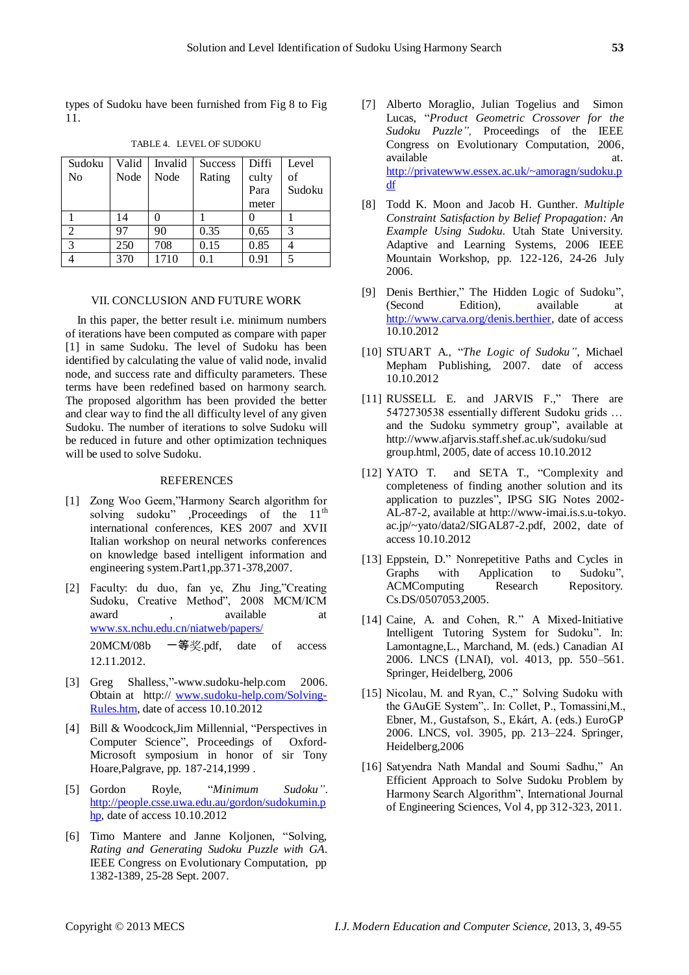types of Sudoku have been furnished from Fig 8 to Fig 11.

| Sudoku         | Valid | Invalid | <b>Success</b> | Diffi | Level  |
|----------------|-------|---------|----------------|-------|--------|
| N <sub>0</sub> | Node  | Node    | Rating         | culty | of     |
|                |       |         |                | Para  | Sudoku |
|                |       |         |                | meter |        |
|                | 14    |         |                |       |        |
| $\mathcal{D}$  | 97    | 90      | 0.35           | 0,65  | 3      |
| 3              | 250   | 708     | 0.15           | 0.85  |        |
|                | 370   | 1710    | 0.1            | 0.91  | 5      |

TABLE 4. LEVEL OF SUDOKU

## VII. CONCLUSION AND FUTURE WORK

In this paper, the better result i.e. minimum numbers of iterations have been computed as compare with paper [1] in same Sudoku. The level of Sudoku has been identified by calculating the value of valid node, invalid node, and success rate and difficulty parameters. These terms have been redefined based on harmony search. The proposed algorithm has been provided the better and clear way to find the all difficulty level of any given Sudoku. The number of iterations to solve Sudoku will be reduced in future and other optimization techniques will be used to solve Sudoku.

## REFERENCES

- [1] Zong Woo Geem,"Harmony Search algorithm for solving sudoku" ,Proceedings of the 11<sup>th</sup> international conferences, KES 2007 and XVII Italian workshop on neural networks conferences on knowledge based intelligent information and engineering system.Part1,pp.371-378,2007.
- [2] Faculty: du duo, fan ye, Zhu Jing,"Creating Sudoku, Creative Method", 2008 MCM/ICM award , available at [www.sx.nchu.edu.cn/niatweb/papers/](http://www.sx.nchu.edu.cn/niatweb/papers/) 20MCM/08b 一等奖.pdf, date of access 12.11.2012.
- [3] Greg Shalless,"-www.sudoku-help.com 2006. Obtain at http:// [www.sudoku-help.com/Solving-](http://www.sudoku-help.com/Solving-Rules.htm)[Rules.htm,](http://www.sudoku-help.com/Solving-Rules.htm) date of access 10.10.2012
- [4] Bill & Woodcock,Jim Millennial, "Perspectives in Computer Science", Proceedings of Oxford-Microsoft symposium in honor of sir Tony Hoare,Palgrave, pp. 187-214,1999 .
- [5] Gordon Royle, "*Minimum Sudoku"*. [http://people.csse.uwa.edu.au/gordon/sudokumin.p](http://people.csse.uwa.edu.au/gordon/sudokumin.php) [hp,](http://people.csse.uwa.edu.au/gordon/sudokumin.php) date of access 10.10.2012
- [6] Timo Mantere and Janne Koljonen, "Solving, *Rating and Generating Sudoku Puzzle with GA*. IEEE Congress on Evolutionary Computation, pp 1382-1389, 25-28 Sept. 2007.
- [7] Alberto Moraglio, Julian Togelius and Simon Lucas, "*Product Geometric Crossover for the Sudoku Puzzle",* Proceedings of the IEEE Congress on Evolutionary Computation, 2006, available at a strategies at a term of  $\alpha$ . [http://privatewww.essex.ac.uk/~amoragn/sudoku.p](http://privatewww.essex.ac.uk/~amoragn/sudoku.pdf) [df](http://privatewww.essex.ac.uk/~amoragn/sudoku.pdf)
- [8] Todd K. Moon and Jacob H. Gunther. *Multiple Constraint Satisfaction by Belief Propagation: An Example Using Sudoku.* Utah State University. Adaptive and Learning Systems, 2006 IEEE Mountain Workshop, pp. 122-126, 24-26 July 2006.
- [9] Denis Berthier," The Hidden Logic of Sudoku", (Second Edition), available at [http://www.carva.org/denis.berthier,](http://www.carva.org/denis.berthier) date of access 10.10.2012
- [10] STUART A., "*The Logic of Sudoku"*, Michael Mepham Publishing, 2007. date of access 10.10.2012
- [11] RUSSELL E. and JARVIS F.," There are 5472730538 essentially different Sudoku grids … and the Sudoku symmetry group", available at http://www.afjarvis.staff.shef.ac.uk/sudoku/sud group.html, 2005, date of access 10.10.2012
- [12] YATO T. and SETA T., "Complexity and completeness of finding another solution and its application to puzzles", IPSG SIG Notes 2002- AL-87-2, available at http://www-imai.is.s.u-tokyo. ac.jp/~yato/data2/SIGAL87-2.pdf, 2002, date of access 10.10.2012
- [13] Eppstein, D." Nonrepetitive Paths and Cycles in Graphs with Application to Sudoku", ACMComputing Research Repository. Cs.DS/0507053,2005.
- [14] Caine, A. and Cohen, R." A Mixed-Initiative Intelligent Tutoring System for Sudoku". In: Lamontagne,L., Marchand, M. (eds.) Canadian AI 2006. LNCS (LNAI), vol. 4013, pp. 550–561. Springer, Heidelberg, 2006
- [15] Nicolau, M. and Ryan, C.," Solving Sudoku with the GAuGE System",. In: Collet, P., Tomassini,M., Ebner, M., Gustafson, S., Ekárt, A. (eds.) EuroGP 2006. LNCS, vol. 3905, pp. 213–224. Springer, Heidelberg,2006
- [16] Satyendra Nath Mandal and Soumi Sadhu," An Efficient Approach to Solve Sudoku Problem by Harmony Search Algorithm", International Journal of Engineering Sciences, Vol 4, pp 312-323, 2011.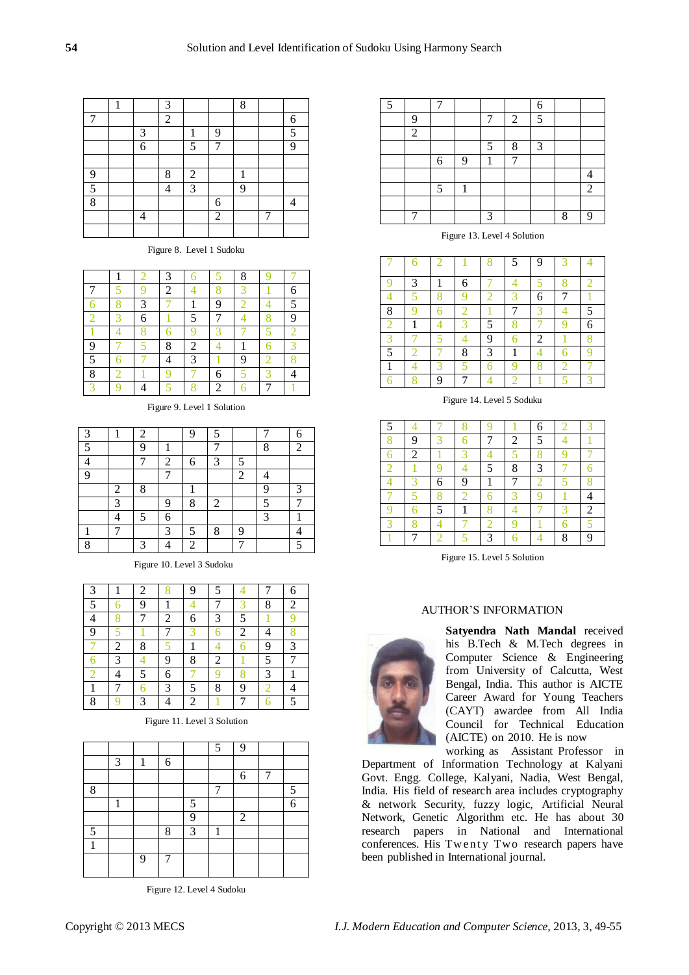|   | 1 |   | 3              |                |                | 8 |   |
|---|---|---|----------------|----------------|----------------|---|---|
|   |   |   | $\overline{2}$ |                |                |   | 6 |
|   |   | 3 |                | 1              | 9              |   | 5 |
|   |   | 6 |                | 5              | 7              |   | 9 |
|   |   |   |                |                |                |   |   |
| 9 |   |   | 8              | $\overline{2}$ |                | 1 |   |
| 5 |   |   | Λ              | 3              |                | 9 |   |
| 8 |   |   |                |                | 6              |   |   |
|   |   | 4 |                |                | $\overline{2}$ |   |   |
|   |   |   |                |                |                |   |   |

Figure 8. Level 1 Sudoku

|                         |   | 3 |                |    | 8 |   |   |
|-------------------------|---|---|----------------|----|---|---|---|
|                         |   | 2 |                |    |   |   |   |
|                         | 3 |   |                | 9  |   |   | 5 |
|                         | 6 |   |                |    |   |   | 9 |
|                         |   |   |                | ., |   |   |   |
| 9                       |   | 8 | $\overline{c}$ |    |   |   |   |
| $\overline{\mathbf{z}}$ |   |   | 3              |    | 9 | ∩ |   |
| 8                       |   |   |                | 6  |   | c |   |
| 2                       |   |   | $\Omega$       | 2  |   | 7 |   |

Figure 9. Level 1 Solution

| $\mathbf{r}$ | 1              | $\overline{2}$ |                | 9              | ς |                |   |                          |
|--------------|----------------|----------------|----------------|----------------|---|----------------|---|--------------------------|
| $\tilde{z}$  |                | 9              |                |                |   |                | 8 | $\overline{2}$           |
|              |                | 7              | $\overline{2}$ | 6              | 3 | 5              |   |                          |
|              |                |                | ┑              |                |   | $\overline{2}$ |   |                          |
|              | $\overline{2}$ | 8              |                |                |   |                | 9 | 2                        |
|              | 3              |                | 9              | 8              | 2 |                |   |                          |
|              |                | 5              | 6              |                |   |                | 3 |                          |
|              | 7              |                | $\mathbf 3$    | 5              | 8 | 9              |   |                          |
| $\Omega$     |                | 3              |                | $\overline{c}$ |   |                |   | $\overline{\phantom{0}}$ |

Figure 10. Level 3 Sudoku

| 3 |   | 2 |                | 9 |   |                |   | 6 |
|---|---|---|----------------|---|---|----------------|---|---|
| 5 |   | 9 |                |   |   |                | 8 | 2 |
|   |   |   | $\overline{2}$ | 6 | 3 | 5              |   |   |
| 9 |   |   | 7              | 3 | 6 | $\overline{c}$ |   |   |
|   | 2 | 8 |                | 1 |   |                | 9 | 3 |
|   | 3 |   | 9              | 8 | 2 |                | 5 |   |
| 2 |   | 5 | 6              |   |   |                | 3 | 1 |
| 1 |   | 6 | 3              | 5 | 8 | 9              | 2 |   |
| 8 |   | 3 |                | 2 |   |                |   |   |

Figure 11. Level 3 Solution

|   |   |   |   | 5 | 9 |   |   |
|---|---|---|---|---|---|---|---|
| 3 | 1 | 6 |   |   |   |   |   |
|   |   |   |   |   | 6 | 7 |   |
|   |   |   |   | 7 |   |   | 5 |
| 1 |   |   | 5 |   |   |   | 6 |
|   |   |   | 9 |   | 2 |   |   |
|   |   | 8 | 3 | 1 |   |   |   |
|   |   |   |   |   |   |   |   |
|   | 9 | 7 |   |   |   |   |   |
|   |   |   |   |   |   |   |   |

Figure 12. Level 4 Sudoku

| 5 |                |   |   |              |   | 6 |   |   |
|---|----------------|---|---|--------------|---|---|---|---|
|   | 9              |   |   | 7            | 2 | 5 |   |   |
|   | $\overline{2}$ |   |   |              |   |   |   |   |
|   |                |   |   | 5            | 8 | 3 |   |   |
|   |                | 6 | 9 | 1            |   |   |   |   |
|   |                |   |   |              |   |   |   |   |
|   |                | 5 | 1 |              |   |   |   | 2 |
|   |                |   |   |              |   |   |   |   |
|   | ⇁              |   |   | $\mathbf{z}$ |   |   | 8 | q |

Figure 13. Level 4 Solution

|   |   | $\overline{2}$ |                     | 8 | 5 | 9            | 3 |                          |
|---|---|----------------|---------------------|---|---|--------------|---|--------------------------|
|   | 3 | 1              | 6                   |   |   |              |   |                          |
|   |   |                |                     |   |   | 6            |   |                          |
| 8 | Q |                | $\hat{\phantom{1}}$ |   |   | $\mathbf{R}$ |   | $\overline{\mathcal{L}}$ |
| ≘ |   |                | $\mathcal{D}$       | 5 |   |              | Ч | 6                        |
| я |   |                |                     | 9 |   | 2            |   |                          |
| 5 |   |                | 8                   | 3 |   |              |   |                          |
|   |   |                |                     |   |   |              |   |                          |
|   | х | 9              |                     |   |   |              |   |                          |

Figure 14. Level 5 Soduku

|   |                |   |   |   |   | 6 |   |   |
|---|----------------|---|---|---|---|---|---|---|
|   | 9              |   |   |   | 2 | 5 |   |   |
|   | $\overline{c}$ |   |   |   |   |   |   |   |
| 2 |                |   |   | 5 | 8 | 3 |   |   |
|   |                | 6 | 9 | 1 |   |   |   |   |
|   |                |   |   |   |   |   |   |   |
|   |                | 5 | 1 |   |   |   |   | 2 |
|   |                |   |   |   |   |   |   |   |
|   |                |   |   | 3 |   |   | 8 | 9 |

Figure 15. Level 5 Solution

## AUTHOR'S INFORMATION



**Satyendra Nath Mandal** received his B.Tech & M.Tech degrees in Computer Science & Engineering from University of Calcutta, West Bengal, India. This author is AICTE Career Award for Young Teachers (CAYT) awardee from All India Council for Technical Education (AICTE) on 2010. He is now working as Assistant Professor in

Department of Information Technology at Kalyani Govt. Engg. College, Kalyani, Nadia, West Bengal, India. His field of research area includes cryptography & network Security, fuzzy logic, Artificial Neural Network, Genetic Algorithm etc. He has about 30 research papers in National and International conferences. His Twenty Two research papers have been published in International journal.